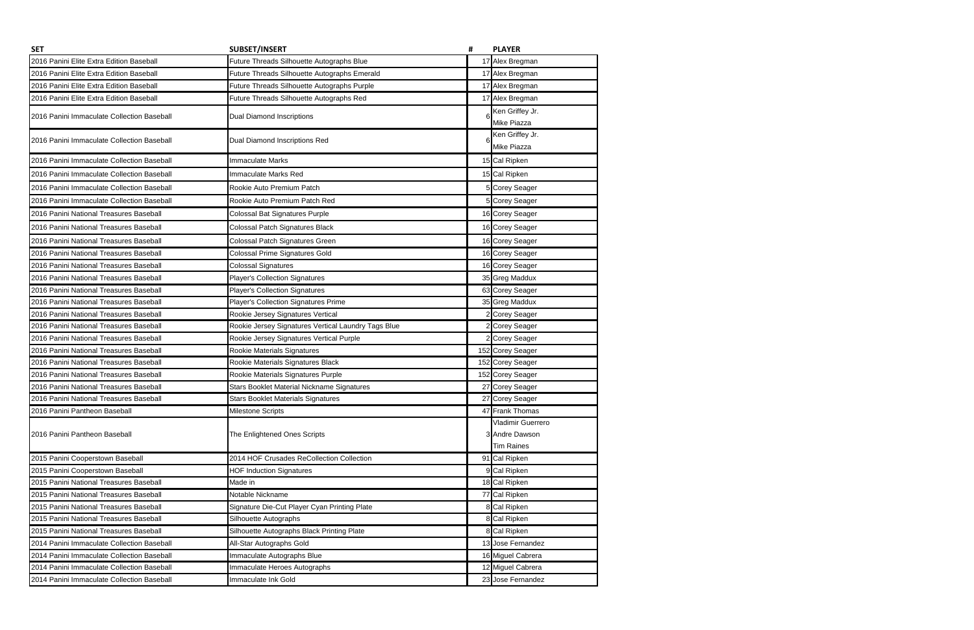| <b>SET</b>                                 | <b>SUBSET/INSERT</b>                                | # | <b>PLAYER</b>                  |
|--------------------------------------------|-----------------------------------------------------|---|--------------------------------|
| 2016 Panini Elite Extra Edition Baseball   | Future Threads Silhouette Autographs Blue           |   | 17 Alex Bregman                |
| 2016 Panini Elite Extra Edition Baseball   | Future Threads Silhouette Autographs Emerald        |   | 17 Alex Bregman                |
| 2016 Panini Elite Extra Edition Baseball   | Future Threads Silhouette Autographs Purple         |   | 17 Alex Bregman                |
| 2016 Panini Elite Extra Edition Baseball   | Future Threads Silhouette Autographs Red            |   | 17 Alex Bregman                |
| 2016 Panini Immaculate Collection Baseball | <b>Dual Diamond Inscriptions</b>                    |   | Ken Griffey Jr.                |
|                                            |                                                     |   | Mike Piazza                    |
| 2016 Panini Immaculate Collection Baseball | Dual Diamond Inscriptions Red                       |   | Ken Griffey Jr.<br>Mike Piazza |
| 2016 Panini Immaculate Collection Baseball | <b>Immaculate Marks</b>                             |   | 15 Cal Ripken                  |
| 2016 Panini Immaculate Collection Baseball | Immaculate Marks Red                                |   | 15 Cal Ripken                  |
| 2016 Panini Immaculate Collection Baseball | Rookie Auto Premium Patch                           |   | 5 Corey Seager                 |
| 2016 Panini Immaculate Collection Baseball | Rookie Auto Premium Patch Red                       |   | 5 Corey Seager                 |
| 2016 Panini National Treasures Baseball    | Colossal Bat Signatures Purple                      |   | 16 Corey Seager                |
| 2016 Panini National Treasures Baseball    | Colossal Patch Signatures Black                     |   | 16 Corey Seager                |
| 2016 Panini National Treasures Baseball    | Colossal Patch Signatures Green                     |   | 16 Corey Seager                |
| 2016 Panini National Treasures Baseball    | Colossal Prime Signatures Gold                      |   | 16 Corey Seager                |
| 2016 Panini National Treasures Baseball    | <b>Colossal Signatures</b>                          |   | 16 Corey Seager                |
| 2016 Panini National Treasures Baseball    | <b>Player's Collection Signatures</b>               |   | 35 Greg Maddux                 |
| 2016 Panini National Treasures Baseball    | <b>Player's Collection Signatures</b>               |   | 63 Corey Seager                |
| 2016 Panini National Treasures Baseball    | Player's Collection Signatures Prime                |   | 35 Greg Maddux                 |
| 2016 Panini National Treasures Baseball    | Rookie Jersey Signatures Vertical                   |   | 2 Corey Seager                 |
| 2016 Panini National Treasures Baseball    | Rookie Jersey Signatures Vertical Laundry Tags Blue |   | 2 Corey Seager                 |
| 2016 Panini National Treasures Baseball    | Rookie Jersey Signatures Vertical Purple            |   | 2 Corey Seager                 |
| 2016 Panini National Treasures Baseball    | Rookie Materials Signatures                         |   | 152 Corey Seager               |
| 2016 Panini National Treasures Baseball    | Rookie Materials Signatures Black                   |   | 152 Corey Seager               |
| 2016 Panini National Treasures Baseball    | Rookie Materials Signatures Purple                  |   | 152 Corey Seager               |
| 2016 Panini National Treasures Baseball    | <b>Stars Booklet Material Nickname Signatures</b>   |   | 27 Corey Seager                |
| 2016 Panini National Treasures Baseball    | <b>Stars Booklet Materials Signatures</b>           |   | 27 Corey Seager                |
| 2016 Panini Pantheon Baseball              | <b>Milestone Scripts</b>                            |   | 47 Frank Thomas                |
|                                            |                                                     |   | Vladimir Guerrero              |
| 2016 Panini Pantheon Baseball              | The Enlightened Ones Scripts                        |   | 3 Andre Dawson                 |
|                                            |                                                     |   | <b>Tim Raines</b>              |
| 2015 Panini Cooperstown Baseball           | 2014 HOF Crusades ReCollection Collection           |   | 91 Cal Ripken                  |
| 2015 Panini Cooperstown Baseball           | <b>HOF Induction Signatures</b>                     |   | 9 Cal Ripken                   |
| 2015 Panini National Treasures Baseball    | Made in                                             |   | 18 Cal Ripken                  |
| 2015 Panini National Treasures Baseball    | Notable Nickname                                    |   | 77 Cal Ripken                  |
| 2015 Panini National Treasures Baseball    | Signature Die-Cut Player Cyan Printing Plate        |   | 8 Cal Ripken                   |
| 2015 Panini National Treasures Baseball    | Silhouette Autographs                               |   | 8 Cal Ripken                   |
| 2015 Panini National Treasures Baseball    | Silhouette Autographs Black Printing Plate          |   | 8 Cal Ripken                   |
| 2014 Panini Immaculate Collection Baseball | All-Star Autographs Gold                            |   | 13 Jose Fernandez              |
| 2014 Panini Immaculate Collection Baseball | Immaculate Autographs Blue                          |   | 16 Miguel Cabrera              |
| 2014 Panini Immaculate Collection Baseball | Immaculate Heroes Autographs                        |   | 12 Miguel Cabrera              |
| 2014 Panini Immaculate Collection Baseball | Immaculate Ink Gold                                 |   | 23 Jose Fernandez              |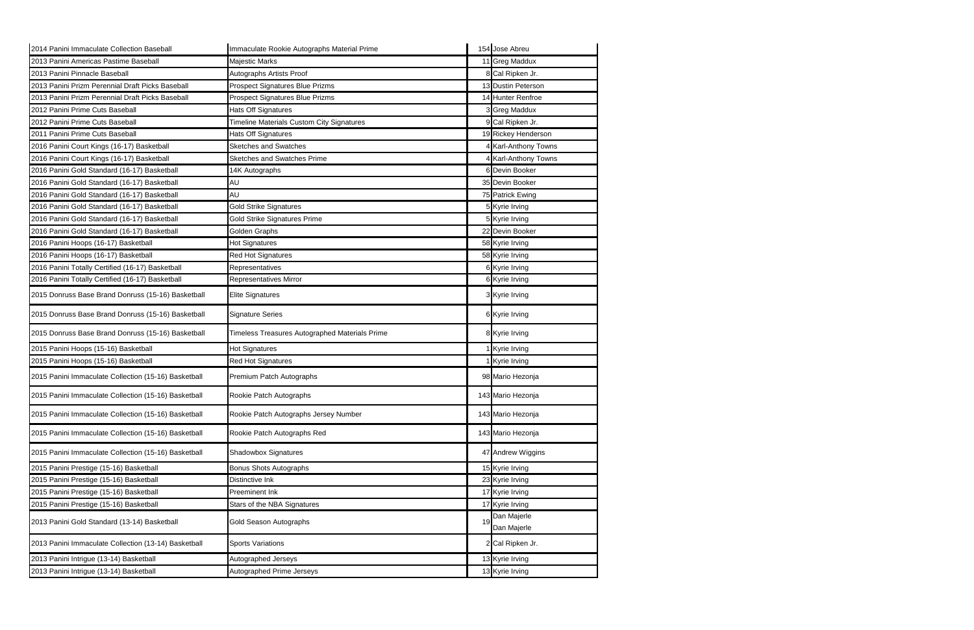| 2014 Panini Immaculate Collection Baseball           | Immaculate Rookie Autographs Material Prime    | 154 Jose Abreu             |
|------------------------------------------------------|------------------------------------------------|----------------------------|
| 2013 Panini Americas Pastime Baseball                | <b>Majestic Marks</b>                          | 11 Greg Maddux             |
| 2013 Panini Pinnacle Baseball                        | Autographs Artists Proof                       | 8 Cal Ripken Jr.           |
| 2013 Panini Prizm Perennial Draft Picks Baseball     | Prospect Signatures Blue Prizms                | 13 Dustin Peterson         |
| 2013 Panini Prizm Perennial Draft Picks Baseball     | Prospect Signatures Blue Prizms                | 14 Hunter Renfroe          |
| 2012 Panini Prime Cuts Baseball                      | Hats Off Signatures                            | 3 Greg Maddux              |
| 2012 Panini Prime Cuts Baseball                      | Timeline Materials Custom City Signatures      | 9 Cal Ripken Jr.           |
| 2011 Panini Prime Cuts Baseball                      | Hats Off Signatures                            | 19 Rickey Henderson        |
| 2016 Panini Court Kings (16-17) Basketball           | <b>Sketches and Swatches</b>                   | <b>Karl-Anthony Towns</b>  |
| 2016 Panini Court Kings (16-17) Basketball           | <b>Sketches and Swatches Prime</b>             | 4 Karl-Anthony Towns       |
| 2016 Panini Gold Standard (16-17) Basketball         | 14K Autographs                                 | 6 Devin Booker             |
| 2016 Panini Gold Standard (16-17) Basketball         | AU                                             | 35 Devin Booker            |
| 2016 Panini Gold Standard (16-17) Basketball         | AU                                             | 75 Patrick Ewing           |
| 2016 Panini Gold Standard (16-17) Basketball         | <b>Gold Strike Signatures</b>                  | 5 Kyrie Irving             |
| 2016 Panini Gold Standard (16-17) Basketball         | <b>Gold Strike Signatures Prime</b>            | 5 Kyrie Irving             |
| 2016 Panini Gold Standard (16-17) Basketball         | Golden Graphs                                  | 22 Devin Booker            |
| 2016 Panini Hoops (16-17) Basketball                 | Hot Signatures                                 | 58 Kyrie Irving            |
| 2016 Panini Hoops (16-17) Basketball                 | Red Hot Signatures                             | 58 Kyrie Irving            |
| 2016 Panini Totally Certified (16-17) Basketball     | Representatives                                | 6 Kyrie Irving             |
| 2016 Panini Totally Certified (16-17) Basketball     | Representatives Mirror                         | 6 Kyrie Irving             |
| 2015 Donruss Base Brand Donruss (15-16) Basketball   | <b>Elite Signatures</b>                        | 3 Kyrie Irving             |
| 2015 Donruss Base Brand Donruss (15-16) Basketball   | <b>Signature Series</b>                        | 6 Kyrie Irving             |
| 2015 Donruss Base Brand Donruss (15-16) Basketball   | Timeless Treasures Autographed Materials Prime | 8 Kyrie Irving             |
| 2015 Panini Hoops (15-16) Basketball                 | Hot Signatures                                 | 1 Kyrie Irving             |
| 2015 Panini Hoops (15-16) Basketball                 | Red Hot Signatures                             | Kyrie Irving               |
| 2015 Panini Immaculate Collection (15-16) Basketball | Premium Patch Autographs                       | 98 Mario Hezonja           |
| 2015 Panini Immaculate Collection (15-16) Basketball | Rookie Patch Autographs                        | 143 Mario Hezonja          |
| 2015 Panini Immaculate Collection (15-16) Basketball | Rookie Patch Autographs Jersey Number          | 143 Mario Hezonja          |
| 2015 Panini Immaculate Collection (15-16) Basketball | Rookie Patch Autographs Red                    | 143 Mario Hezonja          |
| 2015 Panini Immaculate Collection (15-16) Basketball | <b>Shadowbox Signatures</b>                    | 47 Andrew Wiggins          |
| 2015 Panini Prestige (15-16) Basketball              | <b>Bonus Shots Autographs</b>                  | 15 Kyrie Irving            |
| 2015 Panini Prestige (15-16) Basketball              | Distinctive Ink                                | 23 Kyrie Irving            |
| 2015 Panini Prestige (15-16) Basketball              | Preeminent Ink                                 | 17 Kyrie Irving            |
| 2015 Panini Prestige (15-16) Basketball              | Stars of the NBA Signatures                    | 17 Kyrie Irving            |
| 2013 Panini Gold Standard (13-14) Basketball         | Gold Season Autographs                         | Dan Majerle<br>Dan Majerle |
| 2013 Panini Immaculate Collection (13-14) Basketball | <b>Sports Variations</b>                       | 2 Cal Ripken Jr.           |
| 2013 Panini Intrigue (13-14) Basketball              | Autographed Jerseys                            | 13 Kyrie Irving            |
| 2013 Panini Intrigue (13-14) Basketball              | Autographed Prime Jerseys                      | 13 Kyrie Irving            |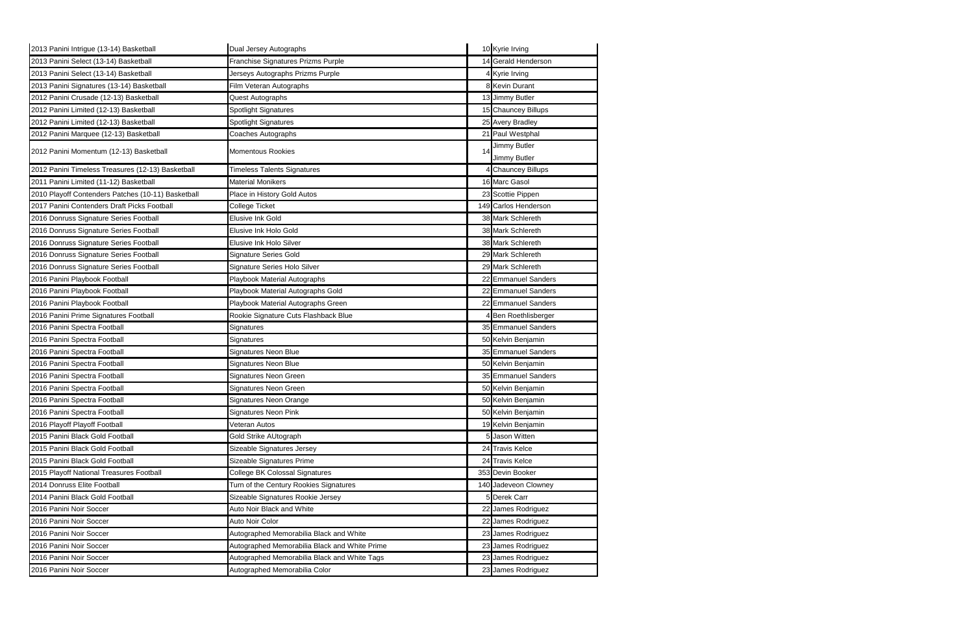| 2013 Panini Intrigue (13-14) Basketball            | Dual Jersey Autographs                        |    | 10 Kyrie Irving              |
|----------------------------------------------------|-----------------------------------------------|----|------------------------------|
| 2013 Panini Select (13-14) Basketball              | Franchise Signatures Prizms Purple            |    | 14 Gerald Henderson          |
| 2013 Panini Select (13-14) Basketball              | Jerseys Autographs Prizms Purple              |    | 4 Kyrie Irving               |
| 2013 Panini Signatures (13-14) Basketball          | Film Veteran Autographs                       |    | 8 Kevin Durant               |
| 2012 Panini Crusade (12-13) Basketball             | Quest Autographs                              |    | 13 Jimmy Butler              |
| 2012 Panini Limited (12-13) Basketball             | <b>Spotlight Signatures</b>                   |    | 15 Chauncey Billups          |
| 2012 Panini Limited (12-13) Basketball             | Spotlight Signatures                          |    | 25 Avery Bradley             |
| 2012 Panini Marquee (12-13) Basketball             | Coaches Autographs                            |    | 21 Paul Westphal             |
| 2012 Panini Momentum (12-13) Basketball            | Momentous Rookies                             | 14 | Jimmy Butler<br>Jimmy Butler |
| 2012 Panini Timeless Treasures (12-13) Basketball  | <b>Timeless Talents Signatures</b>            |    | <b>Chauncey Billups</b>      |
| 2011 Panini Limited (11-12) Basketball             | Material Monikers                             |    | 16 Marc Gasol                |
| 2010 Playoff Contenders Patches (10-11) Basketball | Place in History Gold Autos                   |    | 23 Scottie Pippen            |
| 2017 Panini Contenders Draft Picks Football        | College Ticket                                |    | 149 Carlos Henderson         |
| 2016 Donruss Signature Series Football             | Elusive Ink Gold                              |    | 38 Mark Schlereth            |
| 2016 Donruss Signature Series Football             | Elusive Ink Holo Gold                         |    | 38 Mark Schlereth            |
| 2016 Donruss Signature Series Football             | Elusive Ink Holo Silver                       |    | 38 Mark Schlereth            |
| 2016 Donruss Signature Series Football             | Signature Series Gold                         |    | 29 Mark Schlereth            |
| 2016 Donruss Signature Series Football             | Signature Series Holo Silver                  |    | 29 Mark Schlereth            |
| 2016 Panini Playbook Football                      | Playbook Material Autographs                  |    | 22 Emmanuel Sanders          |
| 2016 Panini Playbook Football                      | Playbook Material Autographs Gold             |    | 22 Emmanuel Sanders          |
| 2016 Panini Playbook Football                      | Playbook Material Autographs Green            |    | 22 Emmanuel Sanders          |
| 2016 Panini Prime Signatures Football              | Rookie Signature Cuts Flashback Blue          |    | 4 Ben Roethlisberger         |
| 2016 Panini Spectra Football                       | Signatures                                    |    | 35 Emmanuel Sanders          |
| 2016 Panini Spectra Football                       | Signatures                                    |    | 50 Kelvin Benjamin           |
| 2016 Panini Spectra Football                       | Signatures Neon Blue                          |    | 35 Emmanuel Sanders          |
| 2016 Panini Spectra Football                       | Signatures Neon Blue                          |    | 50 Kelvin Benjamin           |
| 2016 Panini Spectra Football                       | Signatures Neon Green                         |    | 35 Emmanuel Sanders          |
| 2016 Panini Spectra Football                       | Signatures Neon Green                         |    | 50 Kelvin Benjamin           |
| 2016 Panini Spectra Football                       | Signatures Neon Orange                        |    | 50 Kelvin Benjamin           |
| 2016 Panini Spectra Football                       | Signatures Neon Pink                          |    | 50 Kelvin Benjamin           |
| 2016 Playoff Playoff Football                      | Veteran Autos                                 |    | 19 Kelvin Benjamin           |
| 2015 Panini Black Gold Football                    | Gold Strike AUtograph                         |    | 5 Jason Witten               |
| 2015 Panini Black Gold Football                    | Sizeable Signatures Jersey                    |    | 24 Travis Kelce              |
| 2015 Panini Black Gold Football                    | Sizeable Signatures Prime                     |    | 24 Travis Kelce              |
| 2015 Playoff National Treasures Football           | <b>College BK Colossal Signatures</b>         |    | 353 Devin Booker             |
| 2014 Donruss Elite Football                        | Turn of the Century Rookies Signatures        |    | 140 Jadeveon Clowney         |
| 2014 Panini Black Gold Football                    | Sizeable Signatures Rookie Jersey             |    | 5 Derek Carr                 |
| 2016 Panini Noir Soccer                            | Auto Noir Black and White                     |    | 22 James Rodriguez           |
| 2016 Panini Noir Soccer                            | Auto Noir Color                               |    | 22 James Rodriguez           |
| 2016 Panini Noir Soccer                            | Autographed Memorabilia Black and White       |    | 23 James Rodriguez           |
| 2016 Panini Noir Soccer                            | Autographed Memorabilia Black and White Prime |    | 23 James Rodriguez           |
| 2016 Panini Noir Soccer                            | Autographed Memorabilia Black and White Tags  |    | 23 James Rodriguez           |
| 2016 Panini Noir Soccer                            | Autographed Memorabilia Color                 |    | 23 James Rodriguez           |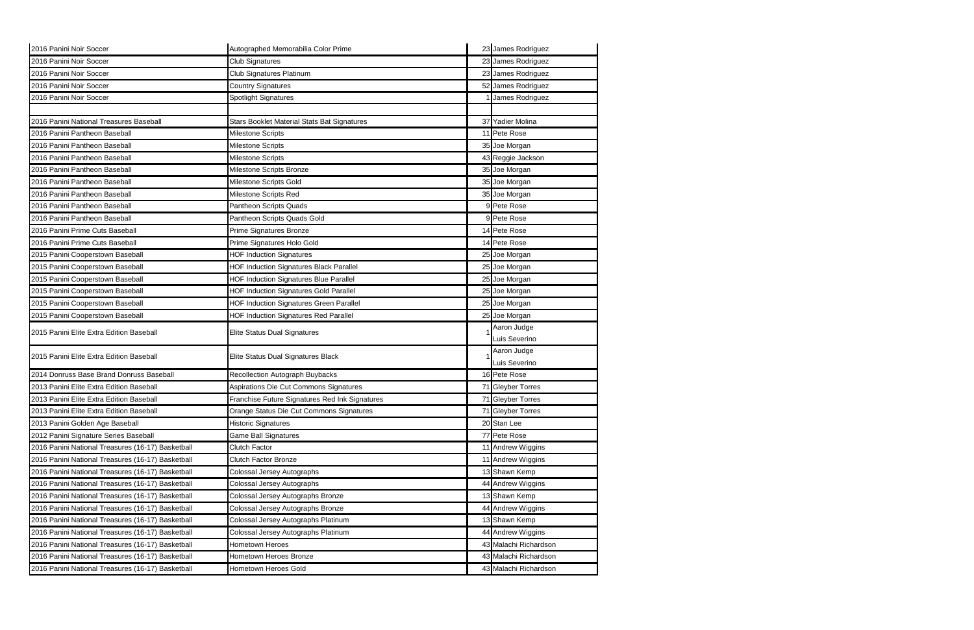| 2016 Panini Noir Soccer                           | Autographed Memorabilia Color Prime                | 23 James Rodriguez    |
|---------------------------------------------------|----------------------------------------------------|-----------------------|
| 2016 Panini Noir Soccer                           | <b>Club Signatures</b>                             | 23 James Rodriguez    |
| 2016 Panini Noir Soccer                           | Club Signatures Platinum                           | 23 James Rodriguez    |
| 2016 Panini Noir Soccer                           | <b>Country Signatures</b>                          | 52 James Rodriguez    |
| 2016 Panini Noir Soccer                           | Spotlight Signatures                               | James Rodriguez       |
|                                                   |                                                    |                       |
| 2016 Panini National Treasures Baseball           | <b>Stars Booklet Material Stats Bat Signatures</b> | 37 Yadier Molina      |
| 2016 Panini Pantheon Baseball                     | Milestone Scripts                                  | 11 Pete Rose          |
| 2016 Panini Pantheon Baseball                     | Milestone Scripts                                  | 35 Joe Morgan         |
| 2016 Panini Pantheon Baseball                     | Milestone Scripts                                  | 43 Reggie Jackson     |
| 2016 Panini Pantheon Baseball                     | Milestone Scripts Bronze                           | 35 Joe Morgan         |
| 2016 Panini Pantheon Baseball                     | Milestone Scripts Gold                             | 35 Joe Morgan         |
| 2016 Panini Pantheon Baseball                     | Milestone Scripts Red                              | 35 Joe Morgan         |
| 2016 Panini Pantheon Baseball                     | Pantheon Scripts Quads                             | 9 Pete Rose           |
| 2016 Panini Pantheon Baseball                     | Pantheon Scripts Quads Gold                        | 9 Pete Rose           |
| 2016 Panini Prime Cuts Baseball                   | Prime Signatures Bronze                            | 14 Pete Rose          |
| 2016 Panini Prime Cuts Baseball                   | Prime Signatures Holo Gold                         | 14 Pete Rose          |
| 2015 Panini Cooperstown Baseball                  | <b>HOF Induction Signatures</b>                    | 25 Joe Morgan         |
| 2015 Panini Cooperstown Baseball                  | <b>HOF Induction Signatures Black Parallel</b>     | 25 Joe Morgan         |
| 2015 Panini Cooperstown Baseball                  | HOF Induction Signatures Blue Parallel             | 25 Joe Morgan         |
| 2015 Panini Cooperstown Baseball                  | <b>HOF Induction Signatures Gold Parallel</b>      | 25 Joe Morgan         |
| 2015 Panini Cooperstown Baseball                  | <b>HOF Induction Signatures Green Parallel</b>     | 25 Joe Morgan         |
|                                                   |                                                    |                       |
| 2015 Panini Cooperstown Baseball                  | HOF Induction Signatures Red Parallel              | 25 Joe Morgan         |
|                                                   |                                                    | Aaron Judge           |
| 2015 Panini Elite Extra Edition Baseball          | Elite Status Dual Signatures                       | Luis Severino         |
|                                                   |                                                    | Aaron Judge           |
| 2015 Panini Elite Extra Edition Baseball          | Elite Status Dual Signatures Black                 | Luis Severino         |
| 2014 Donruss Base Brand Donruss Baseball          | Recollection Autograph Buybacks                    | 16 Pete Rose          |
| 2013 Panini Elite Extra Edition Baseball          | Aspirations Die Cut Commons Signatures             | 71 Gleyber Torres     |
| 12013 Panini Elite Extra Edition Baseball         | Franchise Future Signatures Red Ink Signatures     | 71 Gleyber Torres     |
| 2013 Panini Elite Extra Edition Baseball          | Orange Status Die Cut Commons Signatures           | 71 Gleyber Torres     |
| 2013 Panini Golden Age Baseball                   | <b>Historic Signatures</b>                         | 20 Stan Lee           |
| 2012 Panini Signature Series Baseball             | <b>Game Ball Signatures</b>                        | 77 Pete Rose          |
| 2016 Panini National Treasures (16-17) Basketball | Clutch Factor                                      | 11 Andrew Wiggins     |
| 2016 Panini National Treasures (16-17) Basketball | <b>Clutch Factor Bronze</b>                        | 11 Andrew Wiggins     |
| 2016 Panini National Treasures (16-17) Basketball | Colossal Jersey Autographs                         | 13 Shawn Kemp         |
| 2016 Panini National Treasures (16-17) Basketball | Colossal Jersey Autographs                         | 44 Andrew Wiggins     |
| 2016 Panini National Treasures (16-17) Basketball | Colossal Jersey Autographs Bronze                  | 13 Shawn Kemp         |
| 2016 Panini National Treasures (16-17) Basketball | Colossal Jersey Autographs Bronze                  | 44 Andrew Wiggins     |
| 2016 Panini National Treasures (16-17) Basketball | Colossal Jersey Autographs Platinum                | 13 Shawn Kemp         |
| 2016 Panini National Treasures (16-17) Basketball | Colossal Jersey Autographs Platinum                | 44 Andrew Wiggins     |
| 2016 Panini National Treasures (16-17) Basketball | Hometown Heroes                                    | 43 Malachi Richardson |
| 2016 Panini National Treasures (16-17) Basketball | Hometown Heroes Bronze                             | 43 Malachi Richardson |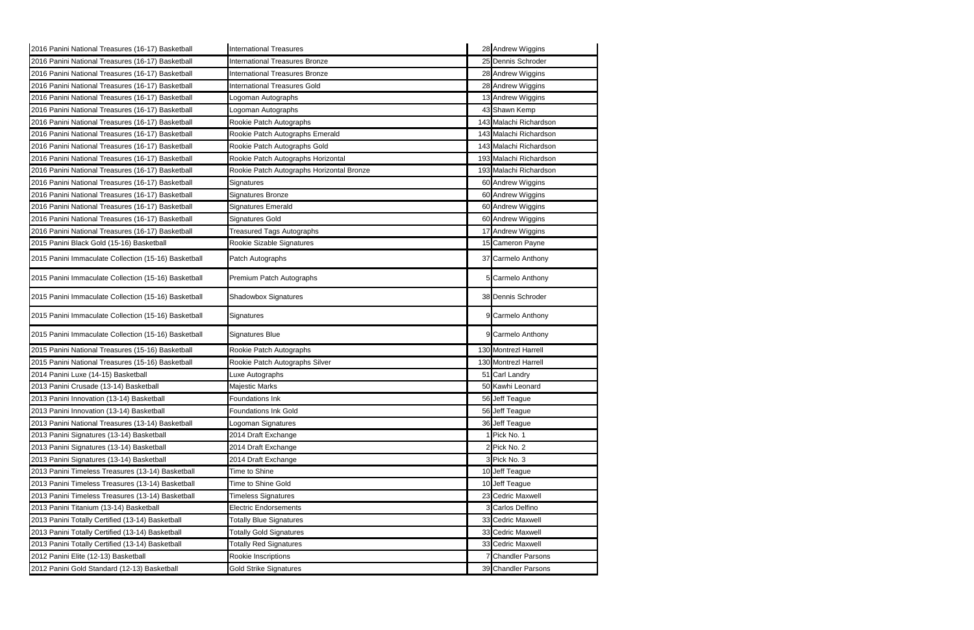| 2016 Panini National Treasures (16-17) Basketball    | <b>International Treasures</b>            | 28 Andrew Wiggins       |
|------------------------------------------------------|-------------------------------------------|-------------------------|
| 2016 Panini National Treasures (16-17) Basketball    | International Treasures Bronze            | 25 Dennis Schroder      |
| 2016 Panini National Treasures (16-17) Basketball    | International Treasures Bronze            | 28 Andrew Wiggins       |
| 2016 Panini National Treasures (16-17) Basketball    | <b>International Treasures Gold</b>       | 28 Andrew Wiggins       |
| 2016 Panini National Treasures (16-17) Basketball    | Logoman Autographs                        | 13 Andrew Wiggins       |
| 2016 Panini National Treasures (16-17) Basketball    | Logoman Autographs                        | 43 Shawn Kemp           |
| 2016 Panini National Treasures (16-17) Basketball    | Rookie Patch Autographs                   | 143 Malachi Richardson  |
| 2016 Panini National Treasures (16-17) Basketball    | Rookie Patch Autographs Emerald           | 143 Malachi Richardson  |
| 2016 Panini National Treasures (16-17) Basketball    | Rookie Patch Autographs Gold              | 143 Malachi Richardson  |
| 2016 Panini National Treasures (16-17) Basketball    | Rookie Patch Autographs Horizontal        | 193 Malachi Richardson  |
| 2016 Panini National Treasures (16-17) Basketball    | Rookie Patch Autographs Horizontal Bronze | 193 Malachi Richardson  |
| 2016 Panini National Treasures (16-17) Basketball    | Signatures                                | 60 Andrew Wiggins       |
| 2016 Panini National Treasures (16-17) Basketball    | Signatures Bronze                         | 60 Andrew Wiggins       |
| 2016 Panini National Treasures (16-17) Basketball    | Signatures Emerald                        | 60 Andrew Wiggins       |
| 2016 Panini National Treasures (16-17) Basketball    | <b>Signatures Gold</b>                    | 60 Andrew Wiggins       |
| 2016 Panini National Treasures (16-17) Basketball    | <b>Treasured Tags Autographs</b>          | 17 Andrew Wiggins       |
| 2015 Panini Black Gold (15-16) Basketball            | Rookie Sizable Signatures                 | 15 Cameron Payne        |
| 2015 Panini Immaculate Collection (15-16) Basketball | Patch Autographs                          | 37 Carmelo Anthony      |
| 2015 Panini Immaculate Collection (15-16) Basketball | Premium Patch Autographs                  | <b>Carmelo Anthony</b>  |
| 2015 Panini Immaculate Collection (15-16) Basketball | Shadowbox Signatures                      | 38 Dennis Schroder      |
| 2015 Panini Immaculate Collection (15-16) Basketball | Signatures                                | 9 Carmelo Anthony       |
| 2015 Panini Immaculate Collection (15-16) Basketball | <b>Signatures Blue</b>                    | 9 Carmelo Anthony       |
| 2015 Panini National Treasures (15-16) Basketball    | Rookie Patch Autographs                   | 130 Montrezl Harrell    |
| 2015 Panini National Treasures (15-16) Basketball    | Rookie Patch Autographs Silver            | 130 Montrezl Harrell    |
| 2014 Panini Luxe (14-15) Basketball                  | Luxe Autographs                           | 51 Carl Landry          |
| 2013 Panini Crusade (13-14) Basketball               | Majestic Marks                            | 50 Kawhi Leonard        |
| 2013 Panini Innovation (13-14) Basketball            | <b>Foundations Ink</b>                    | 56 Jeff Teague          |
| 2013 Panini Innovation (13-14) Basketball            | Foundations Ink Gold                      | 56 Jeff Teague          |
| 2013 Panini National Treasures (13-14) Basketball    | Logoman Signatures                        | 36 Jeff Teague          |
| 2013 Panini Signatures (13-14) Basketball            | 2014 Draft Exchange                       | Pick No. 1              |
| 2013 Panini Signatures (13-14) Basketball            | 2014 Draft Exchange                       | 2 Pick No. 2            |
| 2013 Panini Signatures (13-14) Basketball            | 2014 Draft Exchange                       | 3 Pick No. 3            |
| 2013 Panini Timeless Treasures (13-14) Basketball    | Time to Shine                             | 10 Jeff Teague          |
| 2013 Panini Timeless Treasures (13-14) Basketball    | Time to Shine Gold                        | 10 Jeff Teague          |
| 2013 Panini Timeless Treasures (13-14) Basketball    | <b>Timeless Signatures</b>                | 23 Cedric Maxwell       |
| 2013 Panini Titanium (13-14) Basketball              | Electric Endorsements                     | 3 Carlos Delfino        |
| 2013 Panini Totally Certified (13-14) Basketball     | <b>Totally Blue Signatures</b>            | 33 Cedric Maxwell       |
| 2013 Panini Totally Certified (13-14) Basketball     | <b>Totally Gold Signatures</b>            | 33 Cedric Maxwell       |
| 2013 Panini Totally Certified (13-14) Basketball     | <b>Totally Red Signatures</b>             | 33 Cedric Maxwell       |
| 2012 Panini Elite (12-13) Basketball                 | Rookie Inscriptions                       | <b>Chandler Parsons</b> |
| 2012 Panini Gold Standard (12-13) Basketball         | <b>Gold Strike Signatures</b>             | 39 Chandler Parsons     |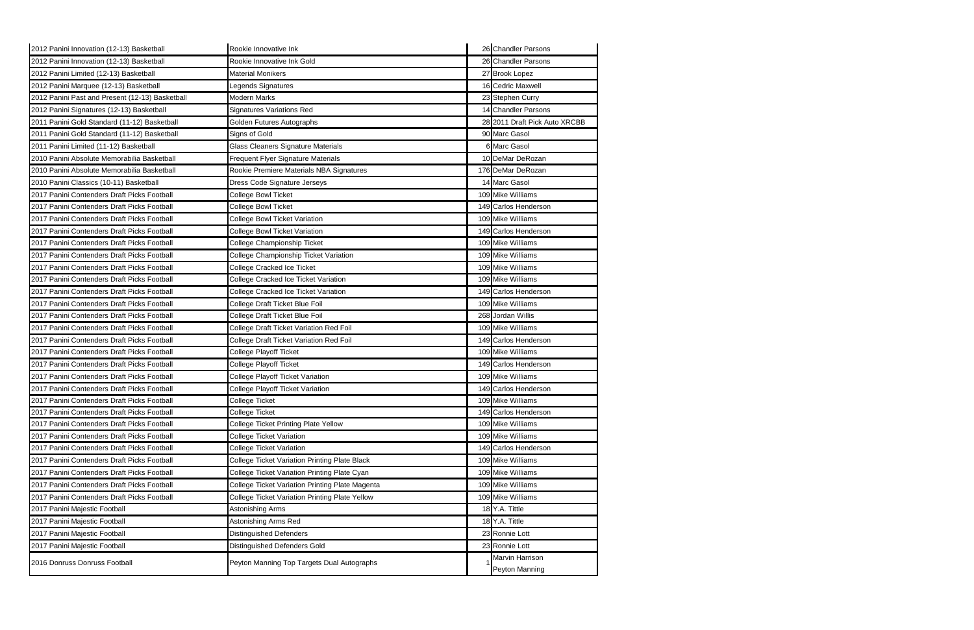| 2012 Panini Innovation (12-13) Basketball       | Rookie Innovative Ink                           | 26 Chandler Parsons           |
|-------------------------------------------------|-------------------------------------------------|-------------------------------|
| 2012 Panini Innovation (12-13) Basketball       | Rookie Innovative Ink Gold                      | 26 Chandler Parsons           |
| 2012 Panini Limited (12-13) Basketball          | <b>Material Monikers</b>                        | 27 Brook Lopez                |
| 2012 Panini Marquee (12-13) Basketball          | Legends Signatures                              | 16 Cedric Maxwell             |
| 2012 Panini Past and Present (12-13) Basketball | <b>Modern Marks</b>                             | 23 Stephen Curry              |
| 2012 Panini Signatures (12-13) Basketball       | <b>Signatures Variations Red</b>                | 14 Chandler Parsons           |
| 2011 Panini Gold Standard (11-12) Basketball    | Golden Futures Autographs                       | 28 2011 Draft Pick Auto XRCBB |
| 2011 Panini Gold Standard (11-12) Basketball    | Signs of Gold                                   | 90 Marc Gasol                 |
| 2011 Panini Limited (11-12) Basketball          | <b>Glass Cleaners Signature Materials</b>       | 6 Marc Gasol                  |
| 2010 Panini Absolute Memorabilia Basketball     | Frequent Flyer Signature Materials              | 10 DeMar DeRozan              |
| 2010 Panini Absolute Memorabilia Basketball     | Rookie Premiere Materials NBA Signatures        | 176 DeMar DeRozan             |
| 2010 Panini Classics (10-11) Basketball         | Dress Code Signature Jerseys                    | 14 Marc Gasol                 |
| 2017 Panini Contenders Draft Picks Football     | College Bowl Ticket                             | 109 Mike Williams             |
| 2017 Panini Contenders Draft Picks Football     | College Bowl Ticket                             | 149 Carlos Henderson          |
| 2017 Panini Contenders Draft Picks Football     | College Bowl Ticket Variation                   | 109 Mike Williams             |
| 2017 Panini Contenders Draft Picks Football     | <b>College Bowl Ticket Variation</b>            | 149 Carlos Henderson          |
| 2017 Panini Contenders Draft Picks Football     | <b>College Championship Ticket</b>              | 109 Mike Williams             |
| 2017 Panini Contenders Draft Picks Football     | College Championship Ticket Variation           | 109 Mike Williams             |
| 2017 Panini Contenders Draft Picks Football     | College Cracked Ice Ticket                      | 109 Mike Williams             |
| 2017 Panini Contenders Draft Picks Football     | College Cracked Ice Ticket Variation            | 109 Mike Williams             |
| 2017 Panini Contenders Draft Picks Football     | College Cracked Ice Ticket Variation            | 149 Carlos Henderson          |
| 2017 Panini Contenders Draft Picks Football     | College Draft Ticket Blue Foil                  | 109 Mike Williams             |
| 2017 Panini Contenders Draft Picks Football     | College Draft Ticket Blue Foil                  | 268 Jordan Willis             |
| 2017 Panini Contenders Draft Picks Football     | College Draft Ticket Variation Red Foil         | 109 Mike Williams             |
| 2017 Panini Contenders Draft Picks Football     | College Draft Ticket Variation Red Foil         | 149 Carlos Henderson          |
| 2017 Panini Contenders Draft Picks Football     | College Playoff Ticket                          | 109 Mike Williams             |
| 2017 Panini Contenders Draft Picks Football     | <b>College Playoff Ticket</b>                   | 149 Carlos Henderson          |
| 2017 Panini Contenders Draft Picks Football     | College Playoff Ticket Variation                | 109 Mike Williams             |
| 2017 Panini Contenders Draft Picks Football     | College Playoff Ticket Variation                | 149 Carlos Henderson          |
| 2017 Panini Contenders Draft Picks Football     | College Ticket                                  | 109 Mike Williams             |
| 2017 Panini Contenders Draft Picks Football     | College Ticket                                  | 149 Carlos Henderson          |
| 2017 Panini Contenders Draft Picks Football     | <b>College Ticket Printing Plate Yellow</b>     | 109 Mike Williams             |
| 2017 Panini Contenders Draft Picks Football     | College Ticket Variation                        | 109 Mike Williams             |
| 2017 Panini Contenders Draft Picks Football     | <b>College Ticket Variation</b>                 | 149 Carlos Henderson          |
| 2017 Panini Contenders Draft Picks Football     | College Ticket Variation Printing Plate Black   | 109 Mike Williams             |
| 2017 Panini Contenders Draft Picks Football     | College Ticket Variation Printing Plate Cyan    | 109 Mike Williams             |
| 2017 Panini Contenders Draft Picks Football     | College Ticket Variation Printing Plate Magenta | 109 Mike Williams             |
| 2017 Panini Contenders Draft Picks Football     | College Ticket Variation Printing Plate Yellow  | 109 Mike Williams             |
| 2017 Panini Majestic Football                   | Astonishing Arms                                | 18 Y.A. Tittle                |
| 2017 Panini Majestic Football                   | Astonishing Arms Red                            | 18 Y.A. Tittle                |
| 2017 Panini Majestic Football                   | <b>Distinguished Defenders</b>                  | 23 Ronnie Lott                |
| 2017 Panini Majestic Football                   | Distinguished Defenders Gold                    | 23 Ronnie Lott                |
| 2016 Donruss Donruss Football                   | Peyton Manning Top Targets Dual Autographs      | Marvin Harrison               |
|                                                 |                                                 | <b>Peyton Manning</b>         |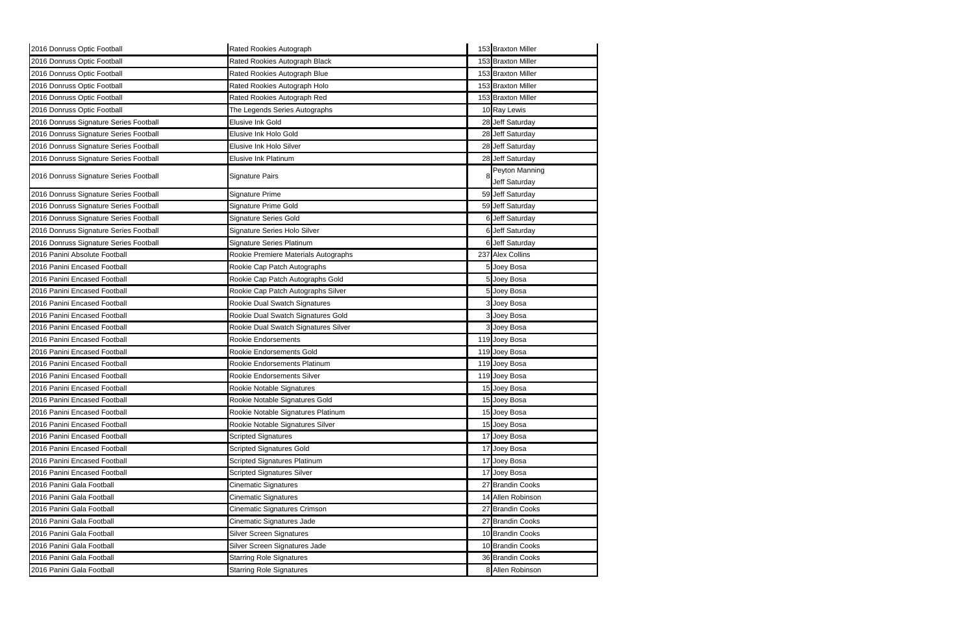| 2016 Donruss Optic Football            | Rated Rookies Autograph              | 153 Braxton Miller              |
|----------------------------------------|--------------------------------------|---------------------------------|
| 2016 Donruss Optic Football            | Rated Rookies Autograph Black        | 153 Braxton Miller              |
| 2016 Donruss Optic Football            | Rated Rookies Autograph Blue         | 153 Braxton Miller              |
| 2016 Donruss Optic Football            | Rated Rookies Autograph Holo         | 153 Braxton Miller              |
| 2016 Donruss Optic Football            | Rated Rookies Autograph Red          | 153 Braxton Miller              |
| 2016 Donruss Optic Football            | The Legends Series Autographs        | 10 Ray Lewis                    |
| 2016 Donruss Signature Series Football | Elusive Ink Gold                     | 28 Jeff Saturday                |
| 2016 Donruss Signature Series Football | Elusive Ink Holo Gold                | 28 Jeff Saturday                |
| 2016 Donruss Signature Series Football | Elusive Ink Holo Silver              | 28 Jeff Saturday                |
| 2016 Donruss Signature Series Football | Elusive Ink Platinum                 | 28 Jeff Saturday                |
| 2016 Donruss Signature Series Football | Signature Pairs                      | Peyton Manning<br>Jeff Saturday |
| 2016 Donruss Signature Series Football | Signature Prime                      | 59 Jeff Saturday                |
| 2016 Donruss Signature Series Football | Signature Prime Gold                 | 59 Jeff Saturday                |
| 2016 Donruss Signature Series Football | <b>Signature Series Gold</b>         | 6 Jeff Saturday                 |
| 2016 Donruss Signature Series Football | Signature Series Holo Silver         | <b>6</b> Jeff Saturday          |
| 2016 Donruss Signature Series Football | <b>Signature Series Platinum</b>     | 6 Jeff Saturday                 |
| 2016 Panini Absolute Football          | Rookie Premiere Materials Autographs | 237 Alex Collins                |
| 2016 Panini Encased Football           | Rookie Cap Patch Autographs          | 5 Joey Bosa                     |
| 2016 Panini Encased Football           | Rookie Cap Patch Autographs Gold     | 5 Joey Bosa                     |
| 2016 Panini Encased Football           | Rookie Cap Patch Autographs Silver   | 5 Joey Bosa                     |
| 2016 Panini Encased Football           | Rookie Dual Swatch Signatures        | Joey Bosa                       |
| 2016 Panini Encased Football           | Rookie Dual Swatch Signatures Gold   | Joey Bosa                       |
| 2016 Panini Encased Football           | Rookie Dual Swatch Signatures Silver | Joey Bosa                       |
| 2016 Panini Encased Football           | Rookie Endorsements                  | 119 Joey Bosa                   |
| 2016 Panini Encased Football           | Rookie Endorsements Gold             | 119 Joey Bosa                   |
| 2016 Panini Encased Football           | Rookie Endorsements Platinum         | 119 Joey Bosa                   |
| 2016 Panini Encased Football           | Rookie Endorsements Silver           | 119 Joey Bosa                   |
| 2016 Panini Encased Football           | Rookie Notable Signatures            | 15 Joey Bosa                    |
| 2016 Panini Encased Football           | Rookie Notable Signatures Gold       | 15 Joey Bosa                    |
| 2016 Panini Encased Football           | Rookie Notable Signatures Platinum   | 15 Joey Bosa                    |
| 2016 Panini Encased Football           | Rookie Notable Signatures Silver     | 15 Joey Bosa                    |
| 2016 Panini Encased Football           | <b>Scripted Signatures</b>           | 17 Joey Bosa                    |
| 2016 Panini Encased Football           | <b>Scripted Signatures Gold</b>      | 17 Joey Bosa                    |
| 2016 Panini Encased Football           | <b>Scripted Signatures Platinum</b>  | 17 Joey Bosa                    |
| 2016 Panini Encased Football           | <b>Scripted Signatures Silver</b>    | 17 Joey Bosa                    |
| 2016 Panini Gala Football              | <b>Cinematic Signatures</b>          | 27 Brandin Cooks                |
| 2016 Panini Gala Football              | Cinematic Signatures                 | 14 Allen Robinson               |
| 2016 Panini Gala Football              | Cinematic Signatures Crimson         | 27 Brandin Cooks                |
| 2016 Panini Gala Football              | Cinematic Signatures Jade            | 27 Brandin Cooks                |
| 2016 Panini Gala Football              | <b>Silver Screen Signatures</b>      | 10 Brandin Cooks                |
| 2016 Panini Gala Football              | Silver Screen Signatures Jade        | 10 Brandin Cooks                |
| 2016 Panini Gala Football              | <b>Starring Role Signatures</b>      | 36 Brandin Cooks                |
| 2016 Panini Gala Football              | <b>Starring Role Signatures</b>      | 8 Allen Robinson                |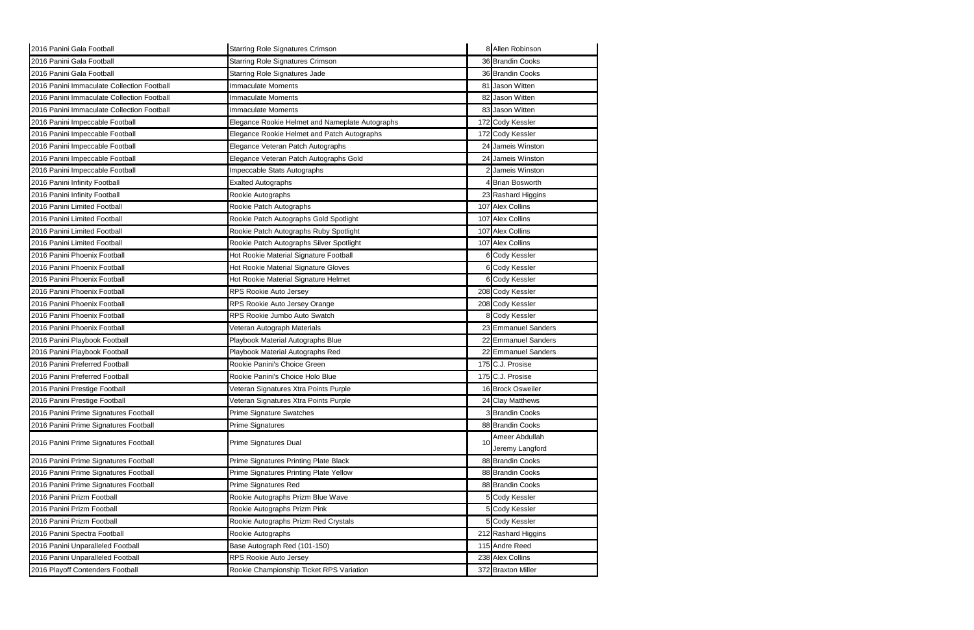| 2016 Panini Gala Football                  | <b>Starring Role Signatures Crimson</b>         | 8 Allen Robinson    |
|--------------------------------------------|-------------------------------------------------|---------------------|
| 2016 Panini Gala Football                  | <b>Starring Role Signatures Crimson</b>         | 36 Brandin Cooks    |
| 2016 Panini Gala Football                  | <b>Starring Role Signatures Jade</b>            | 36 Brandin Cooks    |
| 2016 Panini Immaculate Collection Football | <b>Immaculate Moments</b>                       | 81 Jason Witten     |
| 2016 Panini Immaculate Collection Football | <b>Immaculate Moments</b>                       | 82 Jason Witten     |
| 2016 Panini Immaculate Collection Football | <b>Immaculate Moments</b>                       | 83 Jason Witten     |
| 2016 Panini Impeccable Football            | Elegance Rookie Helmet and Nameplate Autographs | 172 Cody Kessler    |
| 2016 Panini Impeccable Football            | Elegance Rookie Helmet and Patch Autographs     | 172 Cody Kessler    |
| 2016 Panini Impeccable Football            | Elegance Veteran Patch Autographs               | 24 Jameis Winston   |
| 2016 Panini Impeccable Football            | Elegance Veteran Patch Autographs Gold          | 24 Jameis Winston   |
| 2016 Panini Impeccable Football            | Impeccable Stats Autographs                     | Jameis Winston      |
| 2016 Panini Infinity Football              | <b>Exalted Autographs</b>                       | 4 Brian Bosworth    |
| 2016 Panini Infinity Football              | Rookie Autographs                               | 23 Rashard Higgins  |
| 2016 Panini Limited Football               | Rookie Patch Autographs                         | 107 Alex Collins    |
| 2016 Panini Limited Football               | Rookie Patch Autographs Gold Spotlight          | 107 Alex Collins    |
| 2016 Panini Limited Football               | Rookie Patch Autographs Ruby Spotlight          | 107 Alex Collins    |
| 2016 Panini Limited Football               | Rookie Patch Autographs Silver Spotlight        | 107 Alex Collins    |
| 2016 Panini Phoenix Football               | Hot Rookie Material Signature Football          | 6 Cody Kessler      |
| 2016 Panini Phoenix Football               | Hot Rookie Material Signature Gloves            | 6 Cody Kessler      |
| 2016 Panini Phoenix Football               | Hot Rookie Material Signature Helmet            | 6 Cody Kessler      |
| 2016 Panini Phoenix Football               | RPS Rookie Auto Jersey                          | 208 Cody Kessler    |
| 2016 Panini Phoenix Football               | RPS Rookie Auto Jersey Orange                   | 208 Cody Kessler    |
| 2016 Panini Phoenix Football               | RPS Rookie Jumbo Auto Swatch                    | 8 Cody Kessler      |
| 2016 Panini Phoenix Football               | Veteran Autograph Materials                     | 23 Emmanuel Sanders |
| 2016 Panini Playbook Football              | Playbook Material Autographs Blue               | 22 Emmanuel Sanders |
| 2016 Panini Playbook Football              | Playbook Material Autographs Red                | 22 Emmanuel Sanders |
| 2016 Panini Preferred Football             | Rookie Panini's Choice Green                    | 175 C.J. Prosise    |
| 2016 Panini Preferred Football             | Rookie Panini's Choice Holo Blue                | 175 C.J. Prosise    |
| 2016 Panini Prestige Football              | Veteran Signatures Xtra Points Purple           | 16 Brock Osweiler   |
| 2016 Panini Prestige Football              | Veteran Signatures Xtra Points Purple           | 24 Clay Matthews    |
| 2016 Panini Prime Signatures Football      | <b>Prime Signature Swatches</b>                 | 3 Brandin Cooks     |
| 2016 Panini Prime Signatures Football      | Prime Signatures                                | 88 Brandin Cooks    |
| 2016 Panini Prime Signatures Football      | Prime Signatures Dual                           | Ameer Abdullah      |
|                                            |                                                 | Jeremy Langford     |
| 2016 Panini Prime Signatures Football      | Prime Signatures Printing Plate Black           | 88 Brandin Cooks    |
| 2016 Panini Prime Signatures Football      | Prime Signatures Printing Plate Yellow          | 88 Brandin Cooks    |
| 2016 Panini Prime Signatures Football      | Prime Signatures Red                            | 88 Brandin Cooks    |
| 2016 Panini Prizm Football                 | Rookie Autographs Prizm Blue Wave               | 5 Cody Kessler      |
| 2016 Panini Prizm Football                 | Rookie Autographs Prizm Pink                    | 5 Cody Kessler      |
| 2016 Panini Prizm Football                 | Rookie Autographs Prizm Red Crystals            | 5 Cody Kessler      |
| 2016 Panini Spectra Football               | Rookie Autographs                               | 212 Rashard Higgins |
| 2016 Panini Unparalleled Football          | Base Autograph Red (101-150)                    | 115 Andre Reed      |
| 2016 Panini Unparalleled Football          | RPS Rookie Auto Jersey                          | 238 Alex Collins    |
| 2016 Playoff Contenders Football           | Rookie Championship Ticket RPS Variation        | 372 Braxton Miller  |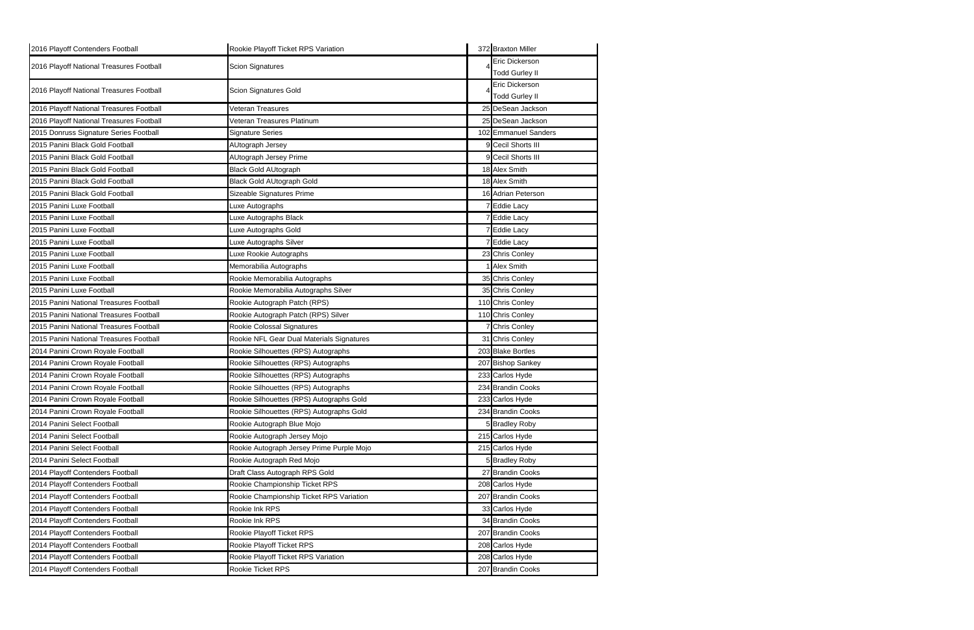| 2016 Playoff Contenders Football         | Rookie Playoff Ticket RPS Variation       | 372 Braxton Miller    |
|------------------------------------------|-------------------------------------------|-----------------------|
| 2016 Playoff National Treasures Football | <b>Scion Signatures</b>                   | Eric Dickerson        |
|                                          |                                           | <b>Todd Gurley II</b> |
| 2016 Playoff National Treasures Football | Scion Signatures Gold                     | Eric Dickerson        |
|                                          |                                           | <b>Todd Gurley II</b> |
| 2016 Playoff National Treasures Football | Veteran Treasures                         | 25 DeSean Jackson     |
| 2016 Playoff National Treasures Football | Veteran Treasures Platinum                | 25 DeSean Jackson     |
| 2015 Donruss Signature Series Football   | <b>Signature Series</b>                   | 102 Emmanuel Sanders  |
| 2015 Panini Black Gold Football          | AUtograph Jersey                          | 9 Cecil Shorts III    |
| 2015 Panini Black Gold Football          | AUtograph Jersey Prime                    | 9 Cecil Shorts III    |
| 2015 Panini Black Gold Football          | <b>Black Gold AUtograph</b>               | 18 Alex Smith         |
| 2015 Panini Black Gold Football          | <b>Black Gold AUtograph Gold</b>          | 18 Alex Smith         |
| 2015 Panini Black Gold Football          | Sizeable Signatures Prime                 | 16 Adrian Peterson    |
| 2015 Panini Luxe Football                | Luxe Autographs                           | 7 Eddie Lacy          |
| 2015 Panini Luxe Football                | Luxe Autographs Black                     | <b>Eddie Lacy</b>     |
| 2015 Panini Luxe Football                | Luxe Autographs Gold                      | <b>Eddie Lacy</b>     |
| 2015 Panini Luxe Football                | Luxe Autographs Silver                    | <b>Eddie Lacy</b>     |
| 2015 Panini Luxe Football                | Luxe Rookie Autographs                    | 23 Chris Conley       |
| 2015 Panini Luxe Football                | Memorabilia Autographs                    | <b>Alex Smith</b>     |
| 2015 Panini Luxe Football                | Rookie Memorabilia Autographs             | 35 Chris Conley       |
| 2015 Panini Luxe Football                | Rookie Memorabilia Autographs Silver      | 35 Chris Conley       |
| 2015 Panini National Treasures Football  | Rookie Autograph Patch (RPS)              | 110 Chris Conley      |
| 2015 Panini National Treasures Football  | Rookie Autograph Patch (RPS) Silver       | 110 Chris Conley      |
| 2015 Panini National Treasures Football  | Rookie Colossal Signatures                | Chris Conley          |
| 2015 Panini National Treasures Football  | Rookie NFL Gear Dual Materials Signatures | 31 Chris Conley       |
| 2014 Panini Crown Royale Football        | Rookie Silhouettes (RPS) Autographs       | 203 Blake Bortles     |
| 2014 Panini Crown Royale Football        | Rookie Silhouettes (RPS) Autographs       | 207 Bishop Sankey     |
| 2014 Panini Crown Royale Football        | Rookie Silhouettes (RPS) Autographs       | 233 Carlos Hyde       |
| 2014 Panini Crown Royale Football        | Rookie Silhouettes (RPS) Autographs       | 234 Brandin Cooks     |
| 2014 Panini Crown Royale Football        | Rookie Silhouettes (RPS) Autographs Gold  | 233 Carlos Hyde       |
| 2014 Panini Crown Royale Football        | Rookie Silhouettes (RPS) Autographs Gold  | 234 Brandin Cooks     |
| 2014 Panini Select Football              | Rookie Autograph Blue Mojo                | 5 Bradley Roby        |
| 2014 Panini Select Football              | Rookie Autograph Jersey Mojo              | 215 Carlos Hyde       |
| 2014 Panini Select Football              | Rookie Autograph Jersey Prime Purple Mojo | 215 Carlos Hyde       |
| 2014 Panini Select Football              | Rookie Autograph Red Mojo                 | 5 Bradley Roby        |
| 2014 Playoff Contenders Football         | Draft Class Autograph RPS Gold            | 27 Brandin Cooks      |
| 2014 Playoff Contenders Football         | Rookie Championship Ticket RPS            | 208 Carlos Hyde       |
| 2014 Playoff Contenders Football         | Rookie Championship Ticket RPS Variation  | 207 Brandin Cooks     |
| 2014 Playoff Contenders Football         | Rookie Ink RPS                            | 33 Carlos Hyde        |
| 2014 Playoff Contenders Football         | Rookie Ink RPS                            | 34 Brandin Cooks      |
| 2014 Playoff Contenders Football         | Rookie Playoff Ticket RPS                 | 207 Brandin Cooks     |
| 2014 Playoff Contenders Football         | Rookie Playoff Ticket RPS                 | 208 Carlos Hyde       |
| 2014 Playoff Contenders Football         | Rookie Playoff Ticket RPS Variation       | 208 Carlos Hyde       |
| 2014 Playoff Contenders Football         | Rookie Ticket RPS                         | 207 Brandin Cooks     |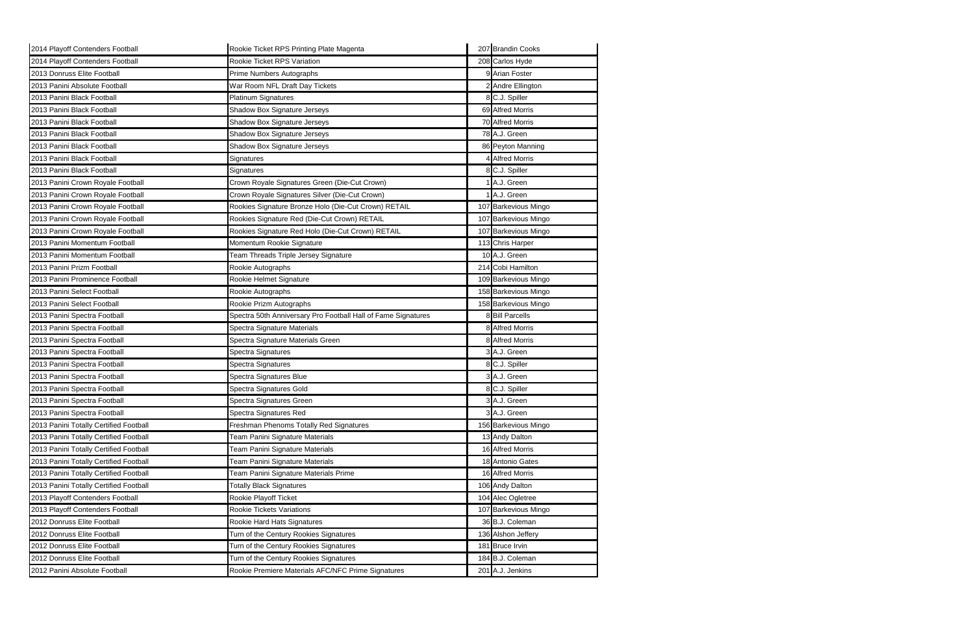| 2014 Playoff Contenders Football       | Rookie Ticket RPS Printing Plate Magenta                      | 207 Brandin Cooks    |
|----------------------------------------|---------------------------------------------------------------|----------------------|
| 2014 Playoff Contenders Football       | Rookie Ticket RPS Variation                                   | 208 Carlos Hyde      |
| 2013 Donruss Elite Football            | Prime Numbers Autographs                                      | 9 Arian Foster       |
| 2013 Panini Absolute Football          | War Room NFL Draft Day Tickets                                | 2 Andre Ellington    |
| 2013 Panini Black Football             | <b>Platinum Signatures</b>                                    | 8 C.J. Spiller       |
| 2013 Panini Black Football             | Shadow Box Signature Jerseys                                  | 69 Alfred Morris     |
| 2013 Panini Black Football             | Shadow Box Signature Jerseys                                  | 70 Alfred Morris     |
| 2013 Panini Black Football             | Shadow Box Signature Jerseys                                  | 78 A.J. Green        |
| 2013 Panini Black Football             | Shadow Box Signature Jerseys                                  | 86 Peyton Manning    |
| 2013 Panini Black Football             | Signatures                                                    | 4 Alfred Morris      |
| 2013 Panini Black Football             | Signatures                                                    | 8 C.J. Spiller       |
| 2013 Panini Crown Royale Football      | Crown Royale Signatures Green (Die-Cut Crown)                 | A.J. Green           |
| 2013 Panini Crown Royale Football      | Crown Royale Signatures Silver (Die-Cut Crown)                | 1 A.J. Green         |
| 2013 Panini Crown Royale Football      | Rookies Signature Bronze Holo (Die-Cut Crown) RETAIL          | 107 Barkevious Mingo |
| 2013 Panini Crown Royale Football      | Rookies Signature Red (Die-Cut Crown) RETAIL                  | 107 Barkevious Mingo |
| 2013 Panini Crown Royale Football      | Rookies Signature Red Holo (Die-Cut Crown) RETAIL             | 107 Barkevious Mingo |
| 2013 Panini Momentum Football          | Momentum Rookie Signature                                     | 113 Chris Harper     |
| 2013 Panini Momentum Football          | Team Threads Triple Jersey Signature                          | 10 A.J. Green        |
| 2013 Panini Prizm Football             | Rookie Autographs                                             | 214 Cobi Hamilton    |
| 2013 Panini Prominence Football        | Rookie Helmet Signature                                       | 109 Barkevious Mingo |
| 2013 Panini Select Football            | Rookie Autographs                                             | 158 Barkevious Mingo |
| 2013 Panini Select Football            | Rookie Prizm Autographs                                       | 158 Barkevious Mingo |
| 2013 Panini Spectra Football           | Spectra 50th Anniversary Pro Football Hall of Fame Signatures | 8 Bill Parcells      |
| 2013 Panini Spectra Football           | Spectra Signature Materials                                   | 8 Alfred Morris      |
| 2013 Panini Spectra Football           | Spectra Signature Materials Green                             | 8 Alfred Morris      |
| 2013 Panini Spectra Football           | Spectra Signatures                                            | 3 A.J. Green         |
| 2013 Panini Spectra Football           | Spectra Signatures                                            | 8 C.J. Spiller       |
| 2013 Panini Spectra Football           | Spectra Signatures Blue                                       | 3 A.J. Green         |
| 2013 Panini Spectra Football           | Spectra Signatures Gold                                       | 8 C.J. Spiller       |
| 2013 Panini Spectra Football           | Spectra Signatures Green                                      | 3 A.J. Green         |
| 2013 Panini Spectra Football           | Spectra Signatures Red                                        | 3 A.J. Green         |
| 2013 Panini Totally Certified Football | Freshman Phenoms Totally Red Signatures                       | 156 Barkevious Mingo |
| 2013 Panini Totally Certified Football | Team Panini Signature Materials                               | 13 Andy Dalton       |
| 2013 Panini Totally Certified Football | Team Panini Signature Materials                               | 16 Alfred Morris     |
| 2013 Panini Totally Certified Football | Team Panini Signature Materials                               | 18 Antonio Gates     |
| 2013 Panini Totally Certified Football | <b>Team Panini Signature Materials Prime</b>                  | 16 Alfred Morris     |
| 2013 Panini Totally Certified Football | <b>Totally Black Signatures</b>                               | 106 Andy Dalton      |
| 2013 Playoff Contenders Football       | Rookie Playoff Ticket                                         | 104 Alec Ogletree    |
| 2013 Playoff Contenders Football       | Rookie Tickets Variations                                     | 107 Barkevious Mingo |
| 2012 Donruss Elite Football            | Rookie Hard Hats Signatures                                   | 36 B.J. Coleman      |
| 2012 Donruss Elite Football            | Turn of the Century Rookies Signatures                        | 136 Alshon Jeffery   |
| 2012 Donruss Elite Football            | Turn of the Century Rookies Signatures                        | 181 Bruce Irvin      |
| 2012 Donruss Elite Football            | Turn of the Century Rookies Signatures                        | 184 B.J. Coleman     |
| 2012 Panini Absolute Football          | Rookie Premiere Materials AFC/NFC Prime Signatures            | 201 A.J. Jenkins     |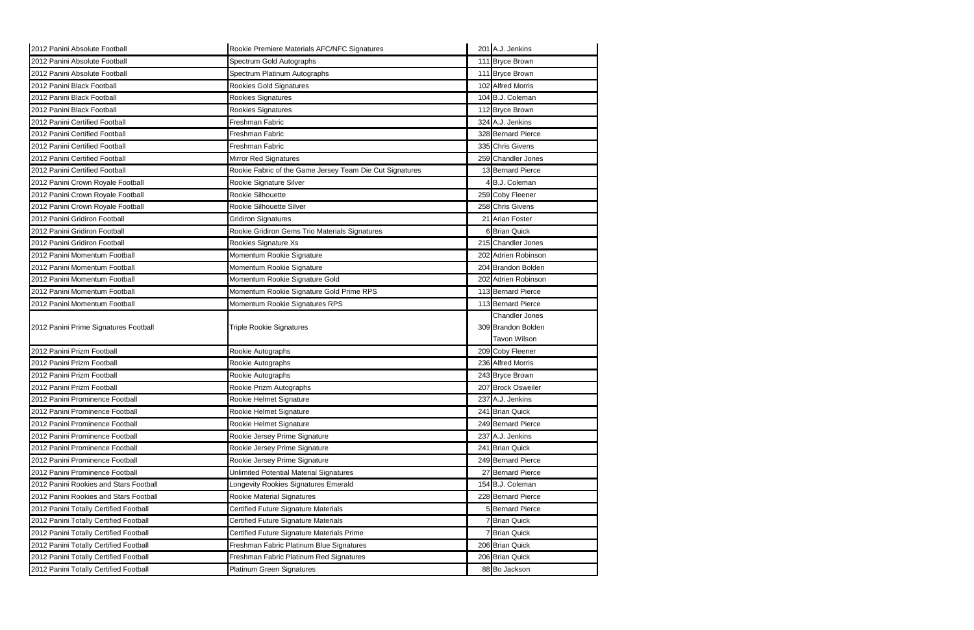| 2012 Panini Absolute Football          | Rookie Premiere Materials AFC/NFC Signatures             | 201 A.J. Jenkins      |
|----------------------------------------|----------------------------------------------------------|-----------------------|
| 2012 Panini Absolute Football          | Spectrum Gold Autographs                                 | 111 Bryce Brown       |
| 2012 Panini Absolute Football          | Spectrum Platinum Autographs                             | 111 Bryce Brown       |
| 2012 Panini Black Football             | Rookies Gold Signatures                                  | 102 Alfred Morris     |
| 2012 Panini Black Football             | Rookies Signatures                                       | 104 B.J. Coleman      |
| 2012 Panini Black Football             | Rookies Signatures                                       | 112 Bryce Brown       |
| 2012 Panini Certified Football         | Freshman Fabric                                          | 324 A.J. Jenkins      |
| 2012 Panini Certified Football         | Freshman Fabric                                          | 328 Bernard Pierce    |
| 2012 Panini Certified Football         | Freshman Fabric                                          | 335 Chris Givens      |
| 2012 Panini Certified Football         | Mirror Red Signatures                                    | 259 Chandler Jones    |
| 2012 Panini Certified Football         | Rookie Fabric of the Game Jersey Team Die Cut Signatures | 13 Bernard Pierce     |
| 2012 Panini Crown Royale Football      | Rookie Signature Silver                                  | B.J. Coleman          |
| 2012 Panini Crown Royale Football      | Rookie Silhouette                                        | 259 Coby Fleener      |
| 2012 Panini Crown Royale Football      | Rookie Silhouette Silver                                 | 258 Chris Givens      |
| 2012 Panini Gridiron Football          | <b>Gridiron Signatures</b>                               | 21 Arian Foster       |
| 2012 Panini Gridiron Football          | Rookie Gridiron Gems Trio Materials Signatures           | <b>6</b> Brian Quick  |
| 2012 Panini Gridiron Football          | Rookies Signature Xs                                     | 215 Chandler Jones    |
| 2012 Panini Momentum Football          | Momentum Rookie Signature                                | 202 Adrien Robinson   |
| 2012 Panini Momentum Football          | Momentum Rookie Signature                                | 204 Brandon Bolden    |
| 2012 Panini Momentum Football          | Momentum Rookie Signature Gold                           | 202 Adrien Robinson   |
| 2012 Panini Momentum Football          | Momentum Rookie Signature Gold Prime RPS                 | 113 Bernard Pierce    |
| 2012 Panini Momentum Football          | Momentum Rookie Signatures RPS                           | 113 Bernard Pierce    |
|                                        |                                                          |                       |
|                                        |                                                          | <b>Chandler Jones</b> |
| 2012 Panini Prime Signatures Football  | <b>Triple Rookie Signatures</b>                          | 309 Brandon Bolden    |
|                                        |                                                          | <b>Tavon Wilson</b>   |
| 2012 Panini Prizm Football             | Rookie Autographs                                        | 209 Coby Fleener      |
| 2012 Panini Prizm Football             | Rookie Autographs                                        | 236 Alfred Morris     |
| 2012 Panini Prizm Football             | Rookie Autographs                                        | 243 Bryce Brown       |
| 2012 Panini Prizm Football             | Rookie Prizm Autographs                                  | 207 Brock Osweiler    |
| 2012 Panini Prominence Football        | Rookie Helmet Signature                                  | 237 A.J. Jenkins      |
| 2012 Panini Prominence Football        | Rookie Helmet Signature                                  | 241 Brian Quick       |
| 2012 Panini Prominence Football        | Rookie Helmet Signature                                  | 249 Bernard Pierce    |
| 2012 Panini Prominence Football        | Rookie Jersey Prime Signature                            | 237 A.J. Jenkins      |
| 2012 Panini Prominence Football        | Rookie Jersey Prime Signature                            | 241 Brian Quick       |
| 2012 Panini Prominence Football        | Rookie Jersey Prime Signature                            | 249 Bernard Pierce    |
| 2012 Panini Prominence Football        | <b>Unlimited Potential Material Signatures</b>           | 27 Bernard Pierce     |
| 2012 Panini Rookies and Stars Football | Longevity Rookies Signatures Emerald                     | 154 B.J. Coleman      |
| 2012 Panini Rookies and Stars Football | Rookie Material Signatures                               | 228 Bernard Pierce    |
| 2012 Panini Totally Certified Football | Certified Future Signature Materials                     | 5 Bernard Pierce      |
| 2012 Panini Totally Certified Football | Certified Future Signature Materials                     | <b>7 Brian Quick</b>  |
| 2012 Panini Totally Certified Football | Certified Future Signature Materials Prime               | <b>7</b> Brian Quick  |
| 2012 Panini Totally Certified Football | Freshman Fabric Platinum Blue Signatures                 | 206 Brian Quick       |
| 2012 Panini Totally Certified Football | Freshman Fabric Platinum Red Signatures                  | 206 Brian Quick       |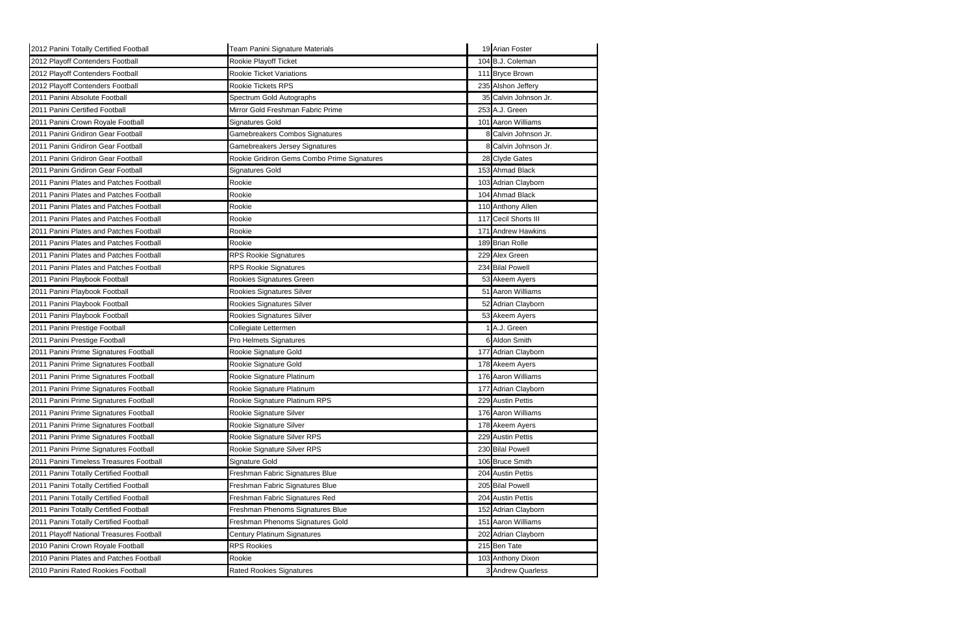| 2012 Panini Totally Certified Football   | Team Panini Signature Materials             | 19 Arian Foster       |
|------------------------------------------|---------------------------------------------|-----------------------|
| 2012 Playoff Contenders Football         | Rookie Playoff Ticket                       | 104 B.J. Coleman      |
| 2012 Playoff Contenders Football         | Rookie Ticket Variations                    | 111 Bryce Brown       |
| 2012 Playoff Contenders Football         | Rookie Tickets RPS                          | 235 Alshon Jeffery    |
| 2011 Panini Absolute Football            | Spectrum Gold Autographs                    | 35 Calvin Johnson Jr. |
| 2011 Panini Certified Football           | Mirror Gold Freshman Fabric Prime           | 253 A.J. Green        |
| 2011 Panini Crown Royale Football        | Signatures Gold                             | 101 Aaron Williams    |
| 2011 Panini Gridiron Gear Football       | Gamebreakers Combos Signatures              | 8 Calvin Johnson Jr.  |
| 2011 Panini Gridiron Gear Football       | Gamebreakers Jersey Signatures              | 8 Calvin Johnson Jr.  |
| 2011 Panini Gridiron Gear Football       | Rookie Gridiron Gems Combo Prime Signatures | 28 Clyde Gates        |
| 2011 Panini Gridiron Gear Football       | Signatures Gold                             | 153 Ahmad Black       |
| 2011 Panini Plates and Patches Football  | Rookie                                      | 103 Adrian Clayborn   |
| 2011 Panini Plates and Patches Football  | Rookie                                      | 104 Ahmad Black       |
| 2011 Panini Plates and Patches Football  | Rookie                                      | 110 Anthony Allen     |
| 2011 Panini Plates and Patches Football  | Rookie                                      | 117 Cecil Shorts III  |
| 2011 Panini Plates and Patches Football  | Rookie                                      | 171 Andrew Hawkins    |
| 2011 Panini Plates and Patches Football  | Rookie                                      | 189 Brian Rolle       |
| 2011 Panini Plates and Patches Football  | <b>RPS Rookie Signatures</b>                | 229 Alex Green        |
| 2011 Panini Plates and Patches Football  | <b>RPS Rookie Signatures</b>                | 234 Bilal Powell      |
| 2011 Panini Playbook Football            | Rookies Signatures Green                    | 53 Akeem Ayers        |
| 2011 Panini Playbook Football            | Rookies Signatures Silver                   | 51 Aaron Williams     |
| 2011 Panini Playbook Football            | Rookies Signatures Silver                   | 52 Adrian Clayborn    |
| 2011 Panini Playbook Football            | Rookies Signatures Silver                   | 53 Akeem Ayers        |
| 2011 Panini Prestige Football            | Collegiate Lettermen                        | A.J. Green            |
| 2011 Panini Prestige Football            | Pro Helmets Signatures                      | 6 Aldon Smith         |
| 2011 Panini Prime Signatures Football    | Rookie Signature Gold                       | 177 Adrian Clayborn   |
| 2011 Panini Prime Signatures Football    | Rookie Signature Gold                       | 178 Akeem Ayers       |
| 2011 Panini Prime Signatures Football    | Rookie Signature Platinum                   | 176 Aaron Williams    |
| 2011 Panini Prime Signatures Football    | Rookie Signature Platinum                   | 177 Adrian Clayborn   |
| 2011 Panini Prime Signatures Football    | Rookie Signature Platinum RPS               | 229 Austin Pettis     |
| 2011 Panini Prime Signatures Football    | Rookie Signature Silver                     | 176 Aaron Williams    |
| 2011 Panini Prime Signatures Football    | Rookie Signature Silver                     | 178 Akeem Ayers       |
| 2011 Panini Prime Signatures Football    | Rookie Signature Silver RPS                 | 229 Austin Pettis     |
| 2011 Panini Prime Signatures Football    | Rookie Signature Silver RPS                 | 230 Bilal Powell      |
| 2011 Panini Timeless Treasures Football  | Signature Gold                              | 106 Bruce Smith       |
| 2011 Panini Totally Certified Football   | Freshman Fabric Signatures Blue             | 204 Austin Pettis     |
| 2011 Panini Totally Certified Football   | Freshman Fabric Signatures Blue             | 205 Bilal Powell      |
| 2011 Panini Totally Certified Football   | Freshman Fabric Signatures Red              | 204 Austin Pettis     |
| 2011 Panini Totally Certified Football   | Freshman Phenoms Signatures Blue            | 152 Adrian Clayborn   |
| 2011 Panini Totally Certified Football   | Freshman Phenoms Signatures Gold            | 151 Aaron Williams    |
| 2011 Playoff National Treasures Football | Century Platinum Signatures                 | 202 Adrian Clayborn   |
| 2010 Panini Crown Royale Football        | <b>RPS Rookies</b>                          | 215 Ben Tate          |
| 2010 Panini Plates and Patches Football  | Rookie                                      | 103 Anthony Dixon     |
| 2010 Panini Rated Rookies Football       | <b>Rated Rookies Signatures</b>             | 3 Andrew Quarless     |